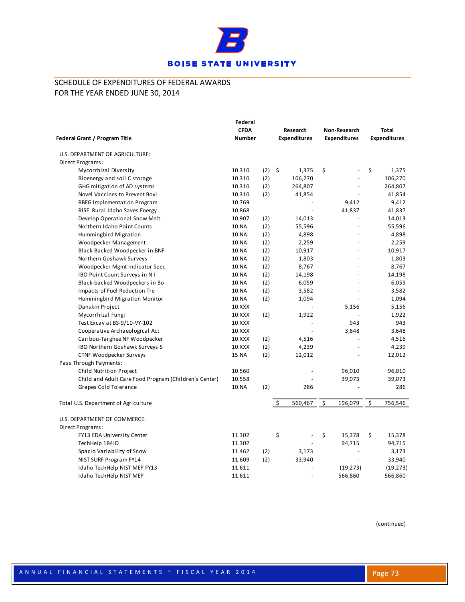

|                                                       | Federal<br><b>CFDA</b> |     |    | Research                 | Non-Research        | Total               |
|-------------------------------------------------------|------------------------|-----|----|--------------------------|---------------------|---------------------|
| Federal Grant / Program Title                         | <b>Number</b>          |     |    | <b>Expenditures</b>      | <b>Expenditures</b> | <b>Expenditures</b> |
| U.S. DEPARTMENT OF AGRICULTURE:                       |                        |     |    |                          |                     |                     |
| Direct Programs:                                      |                        |     |    |                          |                     |                     |
| Mycorrhizal Diversity                                 | 10.310                 | (2) | \$ | 1,375                    | \$                  | \$<br>1,375         |
| Bioenergy and soil C storage                          | 10.310                 | (2) |    | 106,270                  |                     | 106,270             |
| GHG mitigation of AD systems                          | 10.310                 | (2) |    | 264,807                  | L,                  | 264,807             |
| Novel Vaccines to Prevent Bovi                        | 10.310                 | (2) |    | 41,854                   |                     | 41,854              |
| RBEG Implementation Program                           | 10.769                 |     |    |                          | 9,412               | 9,412               |
| RISE: Rural Idaho Saves Energy                        | 10.868                 |     |    |                          | 41,837              | 41,837              |
| Develop Operational Snow Melt                         | 10.907                 | (2) |    | 14,013                   |                     | 14,013              |
| Northern Idaho Point Counts                           | 10.NA                  | (2) |    | 55,596                   | $\overline{a}$      | 55,596              |
| Hummingbird Migration                                 | 10.NA                  | (2) |    | 4,898                    |                     | 4,898               |
| Woodpecker Management                                 | 10.NA                  | (2) |    | 2,259                    |                     | 2,259               |
| Black-Backed Woodpecker in BNF                        | 10.NA                  | (2) |    | 10,917                   | ÷.                  | 10,917              |
| Northern Goshawk Surveys                              | 10.NA                  | (2) |    | 1,803                    |                     | 1,803               |
| Woodpecker Mgmt Indicator Spec                        | 10.NA                  | (2) |    | 8,767                    |                     | 8,767               |
| IBO Point Count Surveys in N I                        | 10.NA                  | (2) |    | 14,198                   |                     | 14,198              |
| Black-backed Woodpeckers in Bo                        | 10.NA                  | (2) |    | 6,059                    |                     | 6,059               |
| Impacts of Fuel Reduction Tre                         | 10.NA                  | (2) |    | 3,582                    |                     | 3,582               |
| Hummingbird Migration Monitor                         | 10.NA                  | (2) |    | 1,094                    |                     | 1,094               |
| Danskin Project                                       | 10.XXX                 |     |    |                          | 5,156               | 5,156               |
| Mycorrhizal Fungi                                     | 10.XXX                 | (2) |    | 1,922                    |                     | 1,922               |
| Test Excav at BS-9/10-VY-102                          | 10.XXX                 |     |    |                          | 943                 | 943                 |
| Cooperative Archaeological Act                        | 10.XXX                 |     |    |                          | 3,648               | 3,648               |
| Caribou-Targhee NF Woodpecker                         | 10.XXX                 | (2) |    | 4,516                    |                     | 4,516               |
| IBO Northern Goshawk Surveys S                        | 10.XXX                 | (2) |    | 4,239                    |                     | 4,239               |
| CTNF Woodpecker Surveys                               | 15.NA                  | (2) |    | 12,012                   |                     | 12,012              |
| Pass Through Payments:                                |                        |     |    |                          |                     |                     |
| Child Nutrition Project                               | 10.560                 |     |    |                          | 96,010              | 96,010              |
| Child and Adult Care Food Program (Children's Center) | 10.558                 |     |    |                          | 39,073              | 39,073              |
| Grapes Cold Tolerance                                 | 10.NA                  | (2) |    | 286                      |                     | 286                 |
| Total U.S. Department of Agriculture                  |                        |     | Ś. | 560,467                  | \$<br>196,079       | \$<br>756,546       |
| U.S. DEPARTMENT OF COMMERCE:                          |                        |     |    |                          |                     |                     |
| Direct Programs:                                      |                        |     |    |                          |                     |                     |
| FY13 EDA University Center                            | 11.302                 |     | \$ | $\overline{\phantom{a}}$ | \$<br>15,378        | \$<br>15,378        |
| TechHelp 1B4ID                                        | 11.302                 |     |    |                          | 94,715              | 94,715              |
| Spacio Variability of Snow                            | 11.462                 | (2) |    | 3,173                    |                     | 3,173               |
| NIST SURF Program FY14                                | 11.609                 | (2) |    | 33,940                   | $\overline{a}$      | 33,940              |
| Idaho TechHelp NIST MEP FY13                          | 11.611                 |     |    |                          | (19, 273)           | (19, 273)           |
| Idaho TechHelp NIST MEP                               | 11.611                 |     |    |                          | 566,860             | 566,860             |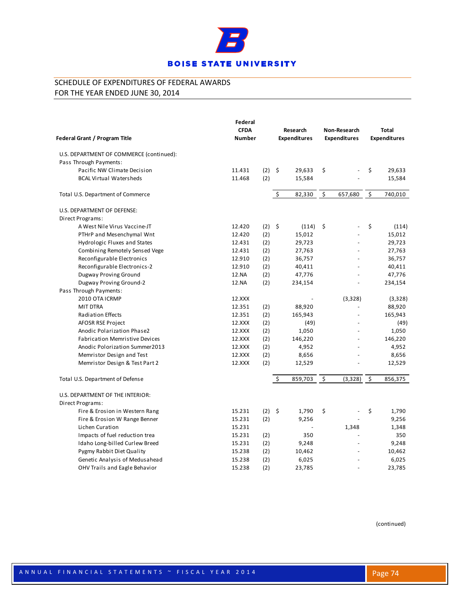

| Federal Grant / Program Title            | Federal<br><b>CFDA</b><br><b>Number</b> |          |    | Research<br><b>Expenditures</b> | Non-Research<br><b>Expenditures</b> | <b>Total</b><br><b>Expenditures</b> |
|------------------------------------------|-----------------------------------------|----------|----|---------------------------------|-------------------------------------|-------------------------------------|
| U.S. DEPARTMENT OF COMMERCE (continued): |                                         |          |    |                                 |                                     |                                     |
| Pass Through Payments:                   |                                         |          |    |                                 |                                     |                                     |
| Pacific NW Climate Decision              | 11.431                                  | $(2)$ \$ |    | 29,633                          | \$                                  | \$<br>29,633                        |
| <b>BCAL Virtual Watersheds</b>           | 11.468                                  | (2)      |    | 15,584                          |                                     | 15,584                              |
| Total U.S. Department of Commerce        |                                         |          | \$ | 82,330                          | \$<br>657,680                       | \$<br>740,010                       |
| U.S. DEPARTMENT OF DEFENSE:              |                                         |          |    |                                 |                                     |                                     |
| Direct Programs:                         |                                         |          |    |                                 |                                     |                                     |
| A West Nile Virus Vaccine-JT             | 12.420                                  | $(2)$ \$ |    | (114)                           | \$                                  | \$<br>(114)                         |
| PTHrP and Mesenchymal Wnt                | 12.420                                  | (2)      |    | 15,012                          |                                     | 15,012                              |
| Hydrologic Fluxes and States             | 12.431                                  | (2)      |    | 29,723                          |                                     | 29,723                              |
| Combining Remotely Sensed Vege           | 12.431                                  | (2)      |    | 27,763                          |                                     | 27,763                              |
| Reconfigurable Electronics               | 12.910                                  | (2)      |    | 36,757                          |                                     | 36,757                              |
| Reconfigurable Electronics-2             | 12.910                                  | (2)      |    | 40,411                          | $\overline{a}$                      | 40,411                              |
| Dugway Proving Ground                    | 12.NA                                   | (2)      |    | 47,776                          |                                     | 47,776                              |
| Dugway Proving Ground-2                  | 12.NA                                   | (2)      |    | 234,154                         |                                     | 234,154                             |
| Pass Through Payments:                   |                                         |          |    |                                 |                                     |                                     |
| 2010 OTA ICRMP                           | 12.XXX                                  |          |    |                                 | (3,328)                             | (3,328)                             |
| <b>MIT DTRA</b>                          | 12.351                                  | (2)      |    | 88,920                          |                                     | 88,920                              |
| <b>Radiation Effects</b>                 | 12.351                                  | (2)      |    | 165,943                         |                                     | 165,943                             |
| AFOSR RSE Project                        | 12.XXX                                  | (2)      |    | (49)                            |                                     | (49)                                |
| Anodic Polarization Phase2               | 12.XXX                                  | (2)      |    | 1,050                           |                                     | 1,050                               |
| <b>Fabrication Memristive Devices</b>    | 12.XXX                                  | (2)      |    | 146,220                         | $\overline{a}$                      | 146,220                             |
| Anodic Polorization Summer2013           | 12.XXX                                  | (2)      |    | 4,952                           |                                     | 4,952                               |
| Memristor Design and Test                | 12.XXX                                  | (2)      |    | 8,656                           |                                     | 8,656                               |
| Memristor Design & Test Part 2           | 12.XXX                                  | (2)      |    | 12,529                          |                                     | 12,529                              |
| Total U.S. Department of Defense         |                                         |          | Ŝ. | 859,703                         | \$<br>(3, 328)                      | \$<br>856,375                       |
| U.S. DEPARTMENT OF THE INTERIOR:         |                                         |          |    |                                 |                                     |                                     |
| Direct Programs:                         |                                         |          |    |                                 |                                     |                                     |
| Fire & Erosion in Western Rang           | 15.231                                  | $(2)$ \$ |    | 1,790                           | \$                                  | \$<br>1,790                         |
| Fire & Erosion W Range Benner            | 15.231                                  | (2)      |    | 9,256                           |                                     | 9,256                               |
| Lichen Curation                          | 15.231                                  |          |    |                                 | 1,348                               | 1,348                               |
| Impacts of fuel reduction trea           | 15.231                                  | (2)      |    | 350                             |                                     | 350                                 |
| Idaho Long-billed Curlew Breed           | 15.231                                  | (2)      |    | 9,248                           |                                     | 9,248                               |
| Pygmy Rabbit Diet Quality                | 15.238                                  | (2)      |    | 10,462                          |                                     | 10,462                              |
| Genetic Analysis of Medusahead           | 15.238                                  | (2)      |    | 6,025                           |                                     | 6,025                               |
| OHV Trails and Eagle Behavior            | 15.238                                  | (2)      |    | 23,785                          |                                     | 23,785                              |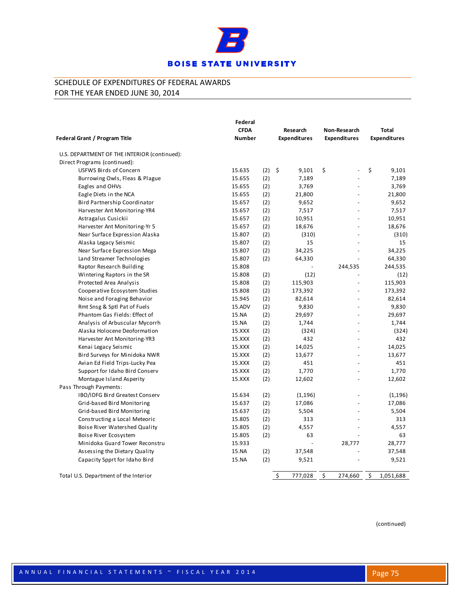

|                                              | Federal       |     |                     |                     |                     |
|----------------------------------------------|---------------|-----|---------------------|---------------------|---------------------|
|                                              | <b>CFDA</b>   |     | Research            | Non-Research        | Total               |
| Federal Grant / Program Title                | <b>Number</b> |     | <b>Expenditures</b> | <b>Expenditures</b> | <b>Expenditures</b> |
| U.S. DEPARTMENT OF THE INTERIOR (continued): |               |     |                     |                     |                     |
| Direct Programs (continued):                 |               |     |                     |                     |                     |
| USFWS Birds of Concern                       | 15.635        | (2) | - \$<br>9,101       | \$                  | \$<br>9,101         |
| Burrowing Owls, Fleas & Plague               | 15.655        | (2) | 7,189               | $\overline{a}$      | 7,189               |
| Eagles and OHVs                              | 15.655        | (2) | 3,769               |                     | 3,769               |
| Eagle Diets in the NCA                       | 15.655        | (2) | 21,800              |                     | 21,800              |
| Bird Partnership Coordinator                 | 15.657        | (2) | 9,652               | $\overline{a}$      | 9,652               |
| Harvester Ant Monitoring-YR4                 | 15.657        | (2) | 7,517               |                     | 7,517               |
| Astragalus Cusickii                          | 15.657        | (2) | 10,951              |                     | 10,951              |
| Harvester Ant Monitoring-Yr 5                | 15.657        | (2) | 18,676              | $\overline{a}$      | 18,676              |
| Near Surface Expression Alaska               | 15.807        | (2) | (310)               |                     | (310)               |
| Alaska Legacy Seismic                        | 15.807        | (2) | 15                  |                     | 15                  |
| Near Surface Expression Mega                 | 15.807        | (2) | 34,225              | $\blacksquare$      | 34,225              |
| Land Streamer Technologies                   | 15.807        | (2) | 64,330              |                     | 64,330              |
| Raptor Research Building                     | 15.808        |     |                     | 244,535             | 244,535             |
| Wintering Raptors in the SR                  | 15.808        | (2) | (12)                | $\overline{a}$      | (12)                |
| Protected Area Analysis                      | 15.808        | (2) | 115,903             | $\frac{1}{2}$       | 115,903             |
| Cooperative Ecosystem Studies                | 15.808        | (2) | 173,392             | L,                  | 173,392             |
| Noise and Foraging Behavior                  | 15.945        | (2) | 82,614              | $\overline{a}$      | 82,614              |
| Rmt Snsg & Sptl Pat of Fuels                 | 15.ADV        | (2) | 9,830               |                     | 9,830               |
| Phantom Gas Fields: Effect of                | 15.NA         | (2) | 29,697              |                     | 29,697              |
| Analysis of Arbuscular Mycorrh               | 15.NA         | (2) | 1,744               | $\overline{a}$      | 1,744               |
| Alaska Holocene Deoformation                 | 15.XXX        | (2) | (324)               | L.                  | (324)               |
| Harvester Ant Monitoring-YR3                 | 15.XXX        | (2) | 432                 |                     | 432                 |
| Kenai Legacy Seismic                         | 15.XXX        | (2) | 14,025              |                     | 14,025              |
| Bird Surveys for Minidoka NWR                | 15.XXX        | (2) | 13,677              | L,                  | 13,677              |
| Avian Ed Field Trips-Lucky Pea               | 15.XXX        | (2) | 451                 | $\overline{a}$      | 451                 |
| Support for Idaho Bird Conserv               | 15.XXX        | (2) | 1,770               |                     | 1,770               |
| Montague Island Asperity                     | 15.XXX        | (2) | 12,602              |                     | 12,602              |
| Pass Through Payments:                       |               |     |                     |                     |                     |
| IBO/IDFG Bird Greatest Conserv               | 15.634        | (2) | (1, 196)            |                     | (1, 196)            |
| Grid-based Bird Monitoring                   | 15.637        | (2) | 17,086              |                     | 17,086              |
| Grid-based Bird Monitoring                   | 15.637        | (2) | 5,504               |                     | 5,504               |
| Constructing a Local Meteoric                | 15.805        | (2) | 313                 |                     | 313                 |
| Boise River Watershed Quality                | 15.805        | (2) | 4,557               |                     | 4,557               |
| Boise River Ecosystem                        | 15.805        | (2) | 63                  |                     | 63                  |
| Minidoka Guard Tower Reconstru               | 15.933        |     |                     | 28,777              | 28,777              |
| Assessing the Dietary Quality                | 15.NA         | (2) | 37,548              |                     | 37,548              |
| Capacity Spprt for Idaho Bird                | 15.NA         | (2) | 9,521               |                     | 9,521               |
| Total U.S. Department of the Interior        |               |     | \$<br>777,028       | \$<br>274,660       | \$<br>1,051,688     |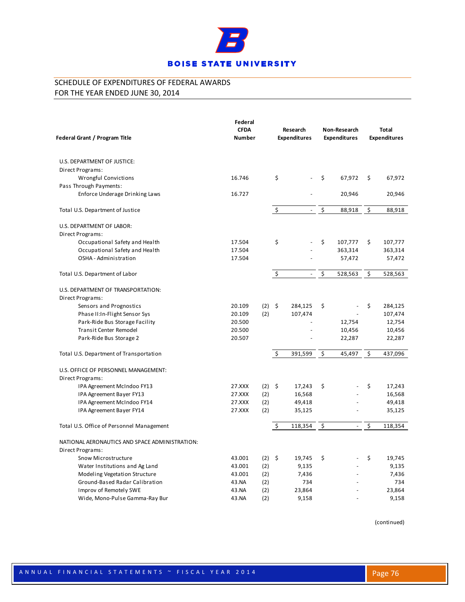

| Federal Grant / Program Title                  | Federal<br><b>CFDA</b><br><b>Number</b> |          |    | Research<br><b>Expenditures</b> | Non-Research<br><b>Expenditures</b> | <b>Total</b><br><b>Expenditures</b> |
|------------------------------------------------|-----------------------------------------|----------|----|---------------------------------|-------------------------------------|-------------------------------------|
| U.S. DEPARTMENT OF JUSTICE:                    |                                         |          |    |                                 |                                     |                                     |
| Direct Programs:                               |                                         |          |    |                                 |                                     |                                     |
| Wrongful Convictions                           | 16.746                                  |          | \$ |                                 | \$<br>67,972                        | \$<br>67,972                        |
| Pass Through Payments:                         |                                         |          |    |                                 |                                     |                                     |
| Enforce Underage Drinking Laws                 | 16.727                                  |          |    |                                 | 20,946                              | 20,946                              |
|                                                |                                         |          |    |                                 |                                     |                                     |
| Total U.S. Department of Justice               |                                         |          | \$ | $\omega_{\rm c}$                | \$<br>88,918                        | \$<br>88,918                        |
| U.S. DEPARTMENT OF LABOR:                      |                                         |          |    |                                 |                                     |                                     |
| Direct Programs:                               |                                         |          |    |                                 |                                     |                                     |
| Occupational Safety and Health                 | 17.504                                  |          | \$ |                                 | \$<br>107,777                       | \$<br>107,777                       |
| Occupational Safety and Health                 | 17.504                                  |          |    |                                 | 363,314                             | 363,314                             |
| OSHA - Administration                          | 17.504                                  |          |    |                                 | 57,472                              | 57,472                              |
| Total U.S. Department of Labor                 |                                         |          | \$ | $\sim$                          | \$<br>528,563                       | \$<br>528,563                       |
| U.S. DEPARTMENT OF TRANSPORTATION:             |                                         |          |    |                                 |                                     |                                     |
| Direct Programs:                               |                                         |          |    |                                 |                                     |                                     |
| Sensors and Prognostics                        | 20.109                                  | $(2)$ \$ |    | 284,125                         | \$                                  | \$<br>284,125                       |
| Phase II:In-Flight Sensor Sys                  | 20.109                                  | (2)      |    | 107,474                         |                                     | 107,474                             |
| Park-Ride Bus Storage Facility                 | 20.500                                  |          |    |                                 | 12,754                              | 12,754                              |
| <b>Transit Center Remodel</b>                  | 20.500                                  |          |    |                                 | 10,456                              | 10,456                              |
| Park-Ride Bus Storage 2                        | 20.507                                  |          |    |                                 | 22,287                              | 22,287                              |
| Total U.S. Department of Transportation        |                                         |          | Ś  | 391,599                         | \$<br>45,497                        | \$<br>437,096                       |
| U.S. OFFICE OF PERSONNEL MANAGEMENT:           |                                         |          |    |                                 |                                     |                                     |
| Direct Programs:                               |                                         |          |    |                                 |                                     |                                     |
| IPA Agreement McIndoo FY13                     | 27.XXX                                  | $(2)$ \$ |    | 17,243                          | \$                                  | \$<br>17,243                        |
| IPA Agreement Bayer FY13                       | 27.XXX                                  | (2)      |    | 16,568                          |                                     | 16,568                              |
| IPA Agreement McIndoo FY14                     | 27.XXX                                  | (2)      |    | 49,418                          |                                     | 49,418                              |
| IPA Agreement Bayer FY14                       | 27.XXX                                  | (2)      |    | 35,125                          |                                     | 35,125                              |
| Total U.S. Office of Personnel Management      |                                         |          | Ś. | 118,354                         | \$<br>$\omega$ .                    | \$<br>118,354                       |
| NATIONAL AERONAUTICS AND SPACE ADMINISTRATION: |                                         |          |    |                                 |                                     |                                     |
| Direct Programs:                               |                                         |          |    |                                 |                                     |                                     |
| Snow Microstructure                            | 43.001                                  | $(2)$ \$ |    | 19,745                          | \$                                  | \$<br>19,745                        |
| Water Institutions and Ag Land                 | 43.001                                  | (2)      |    | 9,135                           |                                     | 9,135                               |
| Modeling Vegetation Structure                  | 43.001                                  | (2)      |    | 7,436                           |                                     | 7,436                               |
| Ground-Based Radar Calibration                 | 43.NA                                   | (2)      |    | 734                             |                                     | 734                                 |
| Improv of Remotely SWE                         | 43.NA                                   | (2)      |    | 23,864                          |                                     | 23,864                              |
| Wide, Mono-Pulse Gamma-Ray Bur                 | 43.NA                                   | (2)      |    | 9,158                           |                                     | 9,158                               |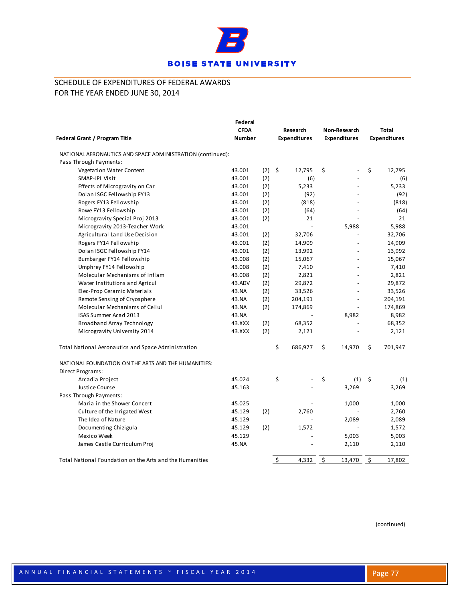

| Federal Grant / Program Title                                           | Federal<br><b>CFDA</b><br><b>Number</b> |     |                     | Research<br><b>Expenditures</b> | Non-Research<br><b>Expenditures</b> | <b>Total</b><br><b>Expenditures</b> |
|-------------------------------------------------------------------------|-----------------------------------------|-----|---------------------|---------------------------------|-------------------------------------|-------------------------------------|
| NATIONAL AERONAUTICS AND SPACE ADMINISTRATION (continued):              |                                         |     |                     |                                 |                                     |                                     |
| Pass Through Payments:                                                  |                                         |     |                     |                                 |                                     |                                     |
| Vegetation Water Content                                                | 43.001                                  | (2) | $\ddot{\mathsf{S}}$ | 12,795                          | \$<br>L,                            | \$<br>12,795                        |
| SMAP-JPL Visit                                                          | 43.001                                  | (2) |                     | (6)                             |                                     | (6)                                 |
| Effects of Microgravity on Car                                          | 43.001                                  | (2) |                     | 5,233                           |                                     | 5,233                               |
| Dolan ISGC Fellowship FY13                                              | 43.001                                  | (2) |                     | (92)                            |                                     | (92)                                |
| Rogers FY13 Fellowship                                                  | 43.001                                  | (2) |                     | (818)                           |                                     | (818)                               |
| Rowe FY13 Fellowship                                                    | 43.001                                  | (2) |                     | (64)                            |                                     | (64)                                |
| Microgravity Special Proj 2013                                          | 43.001                                  | (2) |                     | 21                              |                                     | 21                                  |
| Microgravity 2013-Teacher Work                                          | 43.001                                  |     |                     | $\overline{a}$                  | 5,988                               | 5,988                               |
| Agricultural Land Use Decision                                          | 43.001                                  | (2) |                     | 32,706                          |                                     | 32,706                              |
| Rogers FY14 Fellowship                                                  | 43.001                                  | (2) |                     | 14,909                          |                                     | 14,909                              |
| Dolan ISGC Fellowship FY14                                              | 43.001                                  | (2) |                     | 13,992                          |                                     | 13,992                              |
| Bumbarger FY14 Fellowship                                               | 43.008                                  | (2) |                     | 15,067                          |                                     | 15,067                              |
| Umphrey FY14 Fellowship                                                 | 43.008                                  | (2) |                     | 7,410                           |                                     | 7,410                               |
| Molecular Mechanisms of Inflam                                          | 43.008                                  | (2) |                     | 2,821                           |                                     | 2,821                               |
| Water Institutions and Agricul                                          | 43.ADV                                  | (2) |                     | 29,872                          |                                     | 29,872                              |
| Elec-Prop Ceramic Materials                                             | 43.NA                                   | (2) |                     | 33,526                          | ÷.                                  | 33,526                              |
| Remote Sensing of Cryosphere                                            | 43.NA                                   | (2) |                     | 204,191                         | $\overline{a}$                      | 204,191                             |
| Molecular Mechanisms of Cellul                                          | 43.NA                                   | (2) |                     | 174,869                         |                                     | 174,869                             |
| ISAS Summer Acad 2013                                                   | 43.NA                                   |     |                     |                                 | 8,982                               | 8,982                               |
| Broadband Array Technology                                              | 43.XXX                                  | (2) |                     | 68,352                          |                                     | 68,352                              |
| Microgravity University 2014                                            | 43.XXX                                  | (2) |                     | 2,121                           |                                     | 2,121                               |
| Total National Aeronautics and Space Administration                     |                                         |     | $\zeta$             | 686,977                         | \$<br>14,970                        | \$<br>701,947                       |
| NATIONAL FOUNDATION ON THE ARTS AND THE HUMANITIES:<br>Direct Programs: |                                         |     |                     |                                 |                                     |                                     |
| Arcadia Project                                                         | 45.024                                  |     | \$                  |                                 | \$<br>(1)                           | \$<br>(1)                           |
| Justice Course                                                          | 45.163                                  |     |                     |                                 | 3,269                               | 3,269                               |
| Pass Through Payments:                                                  |                                         |     |                     |                                 |                                     |                                     |
| Maria in the Shower Concert                                             | 45.025                                  |     |                     |                                 | 1,000                               | 1,000                               |
| Culture of the Irrigated West                                           | 45.129                                  | (2) |                     | 2,760                           |                                     | 2,760                               |
| The Idea of Nature                                                      | 45.129                                  |     |                     |                                 | 2,089                               | 2,089                               |
| Documenting Chizigula                                                   | 45.129                                  | (2) |                     | 1,572                           |                                     | 1,572                               |
| Mexico Week                                                             | 45.129                                  |     |                     |                                 | 5,003                               | 5,003                               |
| James Castle Curriculum Proj                                            | 45.NA                                   |     |                     |                                 | 2,110                               | 2,110                               |
| Total National Foundation on the Arts and the Humanities                |                                         |     | \$                  | 4,332                           | \$<br>13,470                        | \$<br>17,802                        |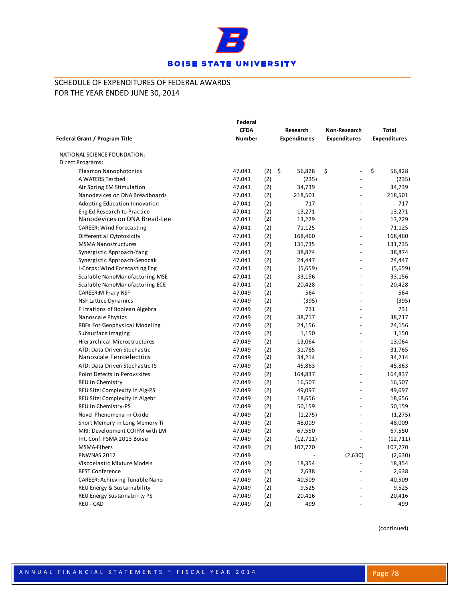

|                                     | Federal       |          |                     |                          |                     |
|-------------------------------------|---------------|----------|---------------------|--------------------------|---------------------|
|                                     | <b>CFDA</b>   |          | Research            | Non-Research             | Total               |
| Federal Grant / Program Title       | <b>Number</b> |          | <b>Expenditures</b> | <b>Expenditures</b>      | <b>Expenditures</b> |
| NATIONAL SCIENCE FOUNDATION:        |               |          |                     |                          |                     |
| Direct Programs:                    |               |          |                     |                          |                     |
| Plasmon Nanophotonics               | 47.041        | $(2)$ \$ | 56,828              | \$                       | \$<br>56,828        |
| A WATERS Testbed                    | 47.041        | (2)      | (235)               |                          | (235)               |
| Air Spring EM Stimulation           | 47.041        | (2)      | 34,739              | $\overline{a}$           | 34,739              |
| Nanodevices on DNA Breadboards      | 47.041        | (2)      | 218,501             | $\overline{a}$           | 218,501             |
| Adopting Education Innovation       | 47.041        | (2)      | 717                 |                          | 717                 |
| Eng Ed Research to Practice         | 47.041        | (2)      | 13,271              |                          | 13,271              |
| Nanodevices on DNA Bread-Lee        | 47.041        | (2)      | 13,229              | $\overline{a}$           | 13,229              |
| <b>CAREER: Wind Forecasting</b>     | 47.041        | (2)      | 71,125              | $\overline{a}$           | 71,125              |
| Differential Cytotoxicity           | 47.041        | (2)      | 168,460             | $\sim$                   | 168,460             |
| <b>MSMA Nanostructures</b>          | 47.041        | (2)      | 131,735             | $\overline{a}$           | 131,735             |
| Synergistic Approach-Yang           | 47.041        | (2)      | 38,874              |                          | 38,874              |
| Synergistic Approach-Senocak        | 47.041        | (2)      | 24,447              |                          | 24,447              |
| I-Corps: Wind Forecasting Eng       | 47.041        | (2)      | (5,659)             | $\overline{a}$           | (5,659)             |
| Scalable NanoManufacturing-MSE      | 47.041        | (2)      | 33,156              | $\overline{a}$           | 33,156              |
| Scalable NanoManufacturing-ECE      | 47.041        | (2)      | 20,428              |                          | 20,428              |
| <b>CAREER:M Frary NSF</b>           | 47.049        | (2)      | 564                 |                          | 564                 |
| <b>NSF Lattice Dynamics</b>         | 47.049        | (2)      | (395)               |                          | (395)               |
| Filtrations of Boolean Algebra      | 47.049        | (2)      | 731                 | $\overline{a}$           | 731                 |
| Nanoscale Physics                   | 47.049        | (2)      | 38,717              | $\overline{a}$           | 38,717              |
| RBFs For Geophysical Modeling       | 47.049        | (2)      | 24,156              | $\overline{\phantom{a}}$ | 24,156              |
| Subsurface Imaging                  | 47.049        | (2)      | 1,150               |                          | 1,150               |
| Hierarchical Microstructures        | 47.049        | (2)      | 13,064              |                          | 13,064              |
| ATD: Data Driven Stochastic         | 47.049        | (2)      | 31,765              | $\overline{a}$           | 31,765              |
| Nanoscale Ferroelectrics            | 47.049        | (2)      | 34,214              | $\overline{a}$           | 34,214              |
| ATD: Data Driven Stochastic IS      | 47.049        | (2)      | 45,863              |                          | 45,863              |
| Point Defects in Perovskites        | 47.049        | (2)      | 164,837             |                          | 164,837             |
| REU in Chemistry                    | 47.049        | (2)      | 16,507              | $\sim$                   | 16,507              |
| REU Site: Complexity in Alg-PS      | 47.049        | (2)      | 49,097              | $\overline{a}$           | 49,097              |
| REU Site: Complexity in Algebr      | 47.049        | (2)      | 18,656              | $\overline{\phantom{a}}$ | 18,656              |
| REU in Chemistry-PS                 | 47.049        | (2)      | 50,159              |                          | 50,159              |
| Novel Phenomena in Oxide            | 47.049        | (2)      | (1, 275)            |                          | (1, 275)            |
| Short Memory in Long Memory Ti      | 47.049        | (2)      | 48,009              |                          | 48,009              |
| MRI: Development COIFM with LM      | 47.049        | (2)      | 67,550              | $\overline{a}$           | 67,550              |
| Int. Conf. FSMA 2013 Boise          | 47.049        | (2)      | (12, 711)           | $\overline{a}$           | (12, 711)           |
| <b>MSMA-Fibers</b>                  | 47.049        | (2)      | 107,770             |                          | 107,770             |
| PNWNAS 2012                         | 47.049        |          |                     | (2,630)                  | (2,630)             |
| Viscoelastic Mixture Models         | 47.049        | (2)      | 18,354              | $\sim$                   | 18,354              |
| <b>BEST Conference</b>              | 47.049        | (2)      | 2,638               | $\overline{a}$           | 2,638               |
| CAREER: Achieving Tunable Nano      | 47.049        | (2)      | 40,509              |                          | 40,509              |
| REU Energy & Sustainability         | 47.049        | (2)      | 9,525               |                          | 9,525               |
| <b>REU Energy Sustainability PS</b> | 47.049        | (2)      | 20,416              |                          | 20,416              |
| REU - CAD                           | 47.049        | (2)      | 499                 | $\overline{a}$           | 499                 |
|                                     |               |          |                     |                          |                     |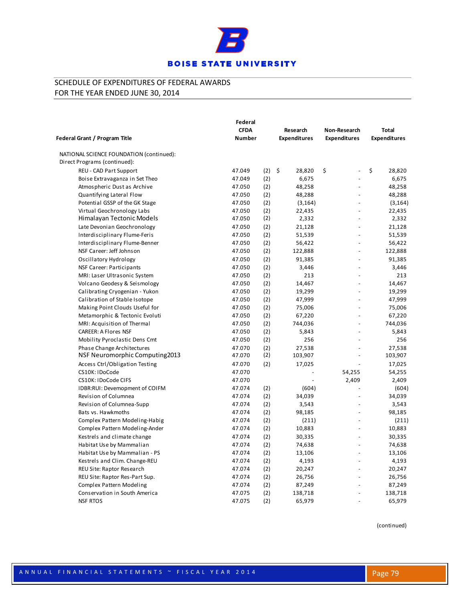

| Federal Grant / Program Title                    | Federal<br><b>CFDA</b><br><b>Number</b> |            | Research<br><b>Expenditures</b> | Non-Research<br><b>Expenditures</b> | <b>Total</b><br><b>Expenditures</b> |
|--------------------------------------------------|-----------------------------------------|------------|---------------------------------|-------------------------------------|-------------------------------------|
| NATIONAL SCIENCE FOUNDATION (continued):         |                                         |            |                                 |                                     |                                     |
| Direct Programs (continued):                     |                                         |            |                                 |                                     |                                     |
| REU - CAD Part Support                           | 47.049                                  | $(2)$ \$   | 28,820                          | \$<br>$\overline{\phantom{a}}$      | \$<br>28,820                        |
| Boise Extravaganza in Set Theo                   | 47.049                                  | (2)        | 6,675                           | $\overline{\phantom{a}}$            | 6,675                               |
| Atmospheric Dust as Archive                      | 47.050                                  | (2)        | 48,258                          | $\sim$                              | 48,258                              |
| Quantifying Lateral Flow                         | 47.050                                  | (2)        | 48,288                          |                                     | 48,288                              |
| Potential GSSP of the GK Stage                   | 47.050                                  | (2)        | (3, 164)                        | $\overline{\phantom{a}}$            | (3, 164)                            |
| Virtual Geochronology Labs                       | 47.050                                  | (2)        | 22,435                          | $\overline{\phantom{a}}$            | 22,435                              |
| Himalayan Tectonic Models                        | 47.050                                  | (2)        | 2,332                           | $\overline{a}$                      | 2,332                               |
| Late Devonian Geochronology                      | 47.050                                  | (2)        | 21,128                          | $\overline{a}$                      | 21,128                              |
| Interdisciplinary Flume-Feris                    | 47.050                                  | (2)        | 51,539                          | $\blacksquare$                      | 51,539                              |
| Interdisciplinary Flume-Benner                   | 47.050                                  | (2)        | 56,422                          |                                     | 56,422                              |
| NSF Career: Jeff Johnson                         | 47.050                                  | (2)        | 122,888                         | $\overline{\phantom{a}}$            | 122,888                             |
| Oscillatory Hydrology                            | 47.050                                  | (2)        | 91,385                          | $\overline{a}$                      | 91,385                              |
| NSF Career: Participants                         | 47.050                                  | (2)        | 3,446                           | $\overline{a}$                      | 3,446                               |
| MRI: Laser Ultrasonic System                     | 47.050                                  | (2)        | 213                             |                                     | 213                                 |
| Volcano Geodesy & Seismology                     | 47.050                                  | (2)        | 14,467                          |                                     | 14,467                              |
| Calibrating Cryogenian - Yukon                   | 47.050                                  | (2)        | 19,299                          | $\overline{a}$                      | 19,299                              |
| Calibration of Stable Isotope                    | 47.050                                  | (2)        | 47,999                          | $\overline{a}$                      | 47,999                              |
| Making Point Clouds Useful for                   | 47.050                                  | (2)        | 75,006                          |                                     | 75,006                              |
| Metamorphic & Tectonic Evoluti                   | 47.050                                  | (2)        | 67,220                          | $\overline{\phantom{a}}$            | 67,220                              |
| MRI: Acquisition of Thermal                      | 47.050                                  | (2)        | 744,036                         | $\overline{a}$                      | 744,036                             |
| <b>CAREER: A Flores NSF</b>                      | 47.050                                  | (2)        | 5,843                           | ÷,                                  | 5,843                               |
| Mobility Pyroclastic Dens Cmt                    | 47.050                                  | (2)        | 256                             |                                     | 256                                 |
| Phase Change Architectures                       | 47.070                                  | (2)        | 27,538                          |                                     | 27,538                              |
| NSF Neuromorphic Computing2013                   | 47.070                                  | (2)        | 103,907                         | $\overline{a}$                      | 103,907                             |
| Access Ctrl/Obligation Testing                   | 47.070                                  | (2)        | 17,025                          | $\sim$                              | 17,025                              |
| CS10K: IDoCode                                   | 47.070                                  |            |                                 | 54,255                              | 54,255                              |
| CS10K: IDoCode CIFS                              | 47.070                                  |            |                                 | 2,409                               | 2,409                               |
| IDBR:RUI: Devemopment of COIFM                   | 47.074                                  | (2)        | (604)                           |                                     | (604)                               |
| Revision of Columnea                             | 47.074                                  | (2)        | 34,039                          | $\sim$                              | 34,039                              |
| Revision of Columnea-Supp                        | 47.074                                  | (2)        | 3,543                           | $\sim$                              | 3,543                               |
| Bats vs. Hawkmoths                               | 47.074                                  | (2)        | 98,185                          | $\sim$                              | 98,185                              |
| Complex Pattern Modeling-Habig                   | 47.074                                  | (2)        | (211)                           | $\sim$                              | (211)                               |
| Complex Pattern Modeling-Ander                   | 47.074                                  | (2)        | 10,883                          | $\sim$                              | 10,883                              |
| Kestrels and climate change                      | 47.074                                  | (2)        | 30,335                          | $\overline{a}$                      | 30,335                              |
| Habitat Use by Mammalian                         | 47.074                                  | (2)        | 74,638                          | $\sim$                              | 74,638                              |
| Habitat Use by Mammalian - PS                    | 47.074                                  | (2)        | 13,106                          |                                     | 13,106                              |
| Kestrels and Clim. Change-REU                    | 47.074                                  | (2)        | 4,193                           |                                     | 4,193                               |
| REU Site: Raptor Research                        | 47.074                                  | (2)        | 20,247                          |                                     | 20,247                              |
| REU Site: Raptor Res-Part Sup.                   | 47.074                                  | (2)        | 26,756                          |                                     | 26,756                              |
| <b>Complex Pattern Modeling</b>                  | 47.074                                  | (2)        | 87,249                          |                                     | 87,249                              |
| Conservation in South America<br><b>NSF RTOS</b> | 47.075<br>47.075                        | (2)<br>(2) | 138,718<br>65,979               |                                     | 138,718<br>65,979                   |
|                                                  |                                         |            |                                 |                                     |                                     |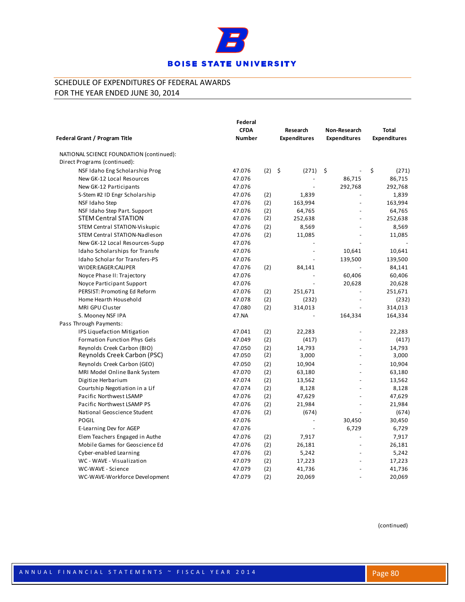

|                                          | Federal       |          |                     |                          |                     |
|------------------------------------------|---------------|----------|---------------------|--------------------------|---------------------|
|                                          | <b>CFDA</b>   |          | Research            | Non-Research             | <b>Total</b>        |
| Federal Grant / Program Title            | <b>Number</b> |          | <b>Expenditures</b> | <b>Expenditures</b>      | <b>Expenditures</b> |
| NATIONAL SCIENCE FOUNDATION (continued): |               |          |                     |                          |                     |
| Direct Programs (continued):             |               |          |                     |                          |                     |
| NSF Idaho Eng Scholarship Prog           | 47.076        | $(2)$ \$ | (271)               | \$<br>$\overline{a}$     | \$<br>(271)         |
| New GK-12 Local Resources                | 47.076        |          |                     | 86,715                   | 86,715              |
| New GK-12 Participants                   | 47.076        |          |                     | 292,768                  | 292,768             |
| S-Stem #2 ID Engr Scholarship            | 47.076        | (2)      | 1,839               |                          | 1,839               |
| NSF Idaho Step                           | 47.076        | (2)      | 163,994             |                          | 163,994             |
| NSF Idaho Step Part. Support             | 47.076        | (2)      | 64,765              |                          | 64,765              |
| <b>STEM Central STATION</b>              | 47.076        | (2)      | 252,638             | $\overline{a}$           | 252,638             |
| STEM Central STATION-Viskupic            | 47.076        | (2)      | 8,569               |                          | 8,569               |
| STEM Central STATION-Nadleson            | 47.076        | (2)      | 11,085              | $\overline{a}$           | 11,085              |
| New GK-12 Local Resources-Supp           | 47.076        |          |                     |                          |                     |
| Idaho Scholarships for Transfe           | 47.076        |          | $\overline{a}$      | 10,641                   | 10,641              |
| <b>Idaho Scholar for Transfers-PS</b>    | 47.076        |          |                     | 139,500                  | 139,500             |
| WIDER:EAGER:CALIPER                      | 47.076        | (2)      | 84,141              |                          | 84,141              |
| Noyce Phase II: Trajectory               | 47.076        |          |                     | 60,406                   | 60,406              |
| Noyce Participant Support                | 47.076        |          |                     | 20,628                   | 20,628              |
| PERSIST: Promoting Ed Reform             | 47.076        | (2)      | 251,671             |                          | 251,671             |
| Home Hearth Household                    | 47.078        | (2)      | (232)               | $\overline{\phantom{a}}$ | (232)               |
| MRI GPU Cluster                          | 47.080        | (2)      | 314,013             | $\overline{a}$           | 314,013             |
| S. Mooney NSF IPA                        | 47.NA         |          |                     | 164,334                  | 164,334             |
| Pass Through Payments:                   |               |          |                     |                          |                     |
| IPS Liquefaction Mitigation              | 47.041        | (2)      | 22,283              | $\overline{a}$           | 22,283              |
| Formation Function Phys Gels             | 47.049        | (2)      | (417)               | $\overline{\phantom{a}}$ | (417)               |
| Reynolds Creek Carbon (BIO)              | 47.050        | (2)      | 14,793              |                          | 14,793              |
| Reynolds Creek Carbon (PSC)              | 47.050        | (2)      | 3,000               |                          | 3,000               |
| Reynolds Creek Carbon (GEO)              | 47.050        | (2)      | 10,904              |                          | 10,904              |
| MRI Model Online Bank System             | 47.070        | (2)      | 63,180              | $\overline{a}$           | 63,180              |
| Digitize Herbarium                       | 47.074        | (2)      | 13,562              |                          | 13,562              |
| Courtship Negotiation in a Lif           | 47.074        | (2)      | 8,128               | $\overline{a}$           | 8,128               |
| Pacific Northwest LSAMP                  | 47.076        | (2)      | 47,629              |                          | 47,629              |
| Pacific Northwest LSAMP PS               | 47.076        | (2)      | 21,984              | $\blacksquare$           | 21,984              |
| National Geoscience Student              | 47.076        | (2)      | (674)               |                          | (674)               |
| POGIL                                    | 47.076        |          |                     | 30,450                   | 30,450              |
| E-Learning Dev for AGEP                  | 47.076        |          |                     | 6,729                    | 6,729               |
| Elem Teachers Engaged in Authe           | 47.076        | (2)      | 7,917               |                          | 7,917               |
| Mobile Games for Geoscience Ed           | 47.076        | (2)      | 26,181              | $\sim$                   | 26,181              |
| Cyber-enabled Learning                   | 47.076        | (2)      | 5,242               | $\overline{a}$           | 5,242               |
| WC - WAVE - Visualization                | 47.079        | (2)      | 17,223              |                          | 17,223              |
| WC-WAVE - Science                        | 47.079        | (2)      | 41,736              |                          | 41,736              |
| WC-WAVE-Workforce Development            | 47.079        | (2)      | 20,069              |                          | 20,069              |
|                                          |               |          |                     |                          |                     |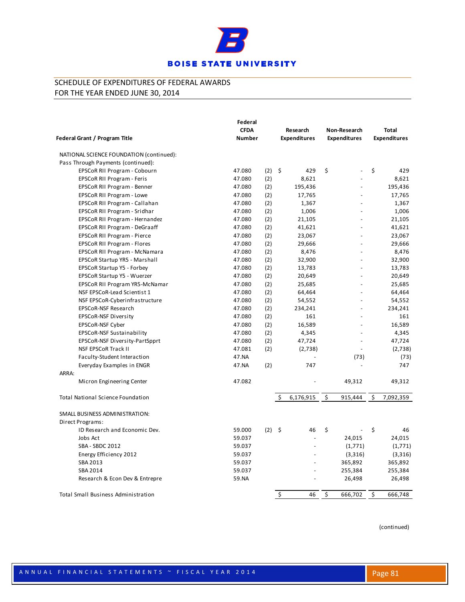

|                                                    | Federal       |          |                     |                          |    |                     |
|----------------------------------------------------|---------------|----------|---------------------|--------------------------|----|---------------------|
|                                                    | <b>CFDA</b>   |          | Research            | Non-Research             |    | <b>Total</b>        |
| Federal Grant / Program Title                      | <b>Number</b> |          | <b>Expenditures</b> | <b>Expenditures</b>      |    | <b>Expenditures</b> |
| NATIONAL SCIENCE FOUNDATION (continued):           |               |          |                     |                          |    |                     |
| Pass Through Payments (continued):                 |               |          |                     |                          |    |                     |
| EPSCoR RII Program - Cobourn                       | 47.080        | $(2)$ \$ | 429                 | \$                       | \$ | 429                 |
| EPSCoR RII Program - Feris                         | 47.080        | (2)      | 8,621               |                          |    | 8,621               |
| EPSCoR RII Program - Benner                        | 47.080        | (2)      | 195,436             | $\overline{a}$           |    | 195,436             |
| EPSCoR RII Program - Lowe                          | 47.080        | (2)      | 17,765              |                          |    | 17,765              |
| EPSCoR RII Program - Callahan                      | 47.080        | (2)      | 1,367               |                          |    | 1,367               |
| EPSCoR RII Program - Sridhar                       | 47.080        | (2)      | 1,006               |                          |    | 1,006               |
| EPSCoR RII Program - Hernandez                     | 47.080        | (2)      | 21,105              | $\overline{\phantom{a}}$ |    | 21,105              |
| EPSCoR RII Program - DeGraaff                      | 47.080        | (2)      | 41,621              | $\overline{a}$           |    | 41,621              |
| EPSCoR RII Program - Pierce                        | 47.080        | (2)      | 23,067              | $\overline{a}$           |    | 23,067              |
| EPSCoR RII Program - Flores                        | 47.080        | (2)      | 29,666              | $\overline{a}$           |    | 29,666              |
| EPSCoR RII Program - McNamara                      | 47.080        | (2)      | 8,476               |                          |    | 8,476               |
| EPSCoR Startup YR5 - Marshall                      | 47.080        | (2)      | 32,900              |                          |    | 32,900              |
| EPSCoR Startup Y5 - Forbey                         | 47.080        | (2)      | 13,783              | $\overline{a}$           |    | 13,783              |
| EPSCoR Startup Y5 - Wuerzer                        | 47.080        | (2)      | 20,649              | $\overline{a}$           |    | 20,649              |
| EPSCoR RII Program YR5-McNamar                     | 47.080        | (2)      | 25,685              |                          |    | 25,685              |
| NSF EPSCoR-Lead Scientist 1                        | 47.080        | (2)      | 64,464              | $\overline{a}$           |    | 64,464              |
| NSF EPSCoR-Cyberinfrastructure                     | 47.080        | (2)      | 54,552              |                          |    | 54,552              |
| EPSCoR-NSF Research                                | 47.080        | (2)      | 234,241             | ٠                        |    | 234,241             |
| EPSCoR-NSF Diversity                               | 47.080        | (2)      | 161                 | $\overline{a}$           |    | 161                 |
| EPSCoR-NSF Cyber                                   | 47.080        | (2)      | 16,589              |                          |    | 16,589              |
| EPSCoR-NSF Sustainability                          | 47.080        | (2)      | 4,345               | $\overline{a}$           |    | 4,345               |
| EPSCoR-NSF Diversity-PartSpprt                     | 47.080        | (2)      | 47,724              | $\overline{a}$           |    | 47,724              |
| <b>NSF EPSCoR Track II</b>                         | 47.081        | (2)      | (2,738)             | $\overline{a}$           |    | (2,738)             |
| Faculty-Student Interaction                        | 47.NA         |          |                     | (73)                     |    | (73)                |
| Everyday Examples in ENGR                          | 47.NA         | (2)      | 747                 |                          |    | 747                 |
| ARRA:                                              |               |          |                     |                          |    |                     |
| Micron Engineering Center                          | 47.082        |          |                     | 49,312                   |    | 49,312              |
| <b>Total National Science Foundation</b>           |               |          | Ś.<br>6,176,915     | \$<br>915,444            | Ś. | 7,092,359           |
| SMALL BUSINESS ADMINISTRATION:<br>Direct Programs: |               |          |                     |                          |    |                     |
| ID Research and Economic Dev.                      | 59.000        | $(2)$ \$ | 46                  | \$                       | \$ | 46                  |
| Jobs Act                                           | 59.037        |          | $\overline{a}$      | 24,015                   |    | 24,015              |
| SBA - SBDC 2012                                    | 59.037        |          |                     | (1,771)                  |    | (1,771)             |
| Energy Efficiency 2012                             | 59.037        |          |                     | (3,316)                  |    | (3,316)             |
| SBA 2013                                           | 59.037        |          |                     | 365,892                  |    | 365,892             |
| SBA 2014                                           | 59.037        |          |                     | 255,384                  |    | 255,384             |
| Research & Econ Dev & Entrepre                     | 59.NA         |          |                     | 26,498                   |    | 26,498              |
|                                                    |               |          |                     |                          |    |                     |
| <b>Total Small Business Administration</b>         |               |          | \$<br>46            | \$<br>666,702            | \$ | 666,748             |
|                                                    |               |          |                     |                          |    |                     |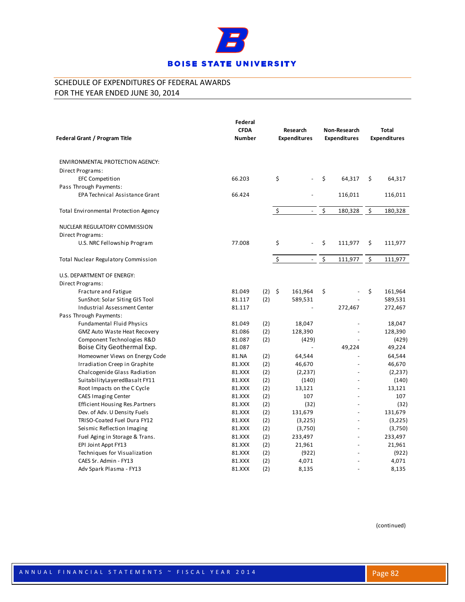

| ENVIRONMENTAL PROTECTION AGENCY:<br>Direct Programs:     | 66.203<br>66.424 |          |                    |                |                |                 |
|----------------------------------------------------------|------------------|----------|--------------------|----------------|----------------|-----------------|
|                                                          |                  |          |                    |                |                |                 |
|                                                          |                  |          |                    |                |                |                 |
| <b>EFC Competition</b>                                   |                  |          | Ś.                 | $\overline{a}$ | \$<br>64,317   | \$<br>64,317    |
| Pass Through Payments:                                   |                  |          |                    |                |                |                 |
| <b>EPA Technical Assistance Grant</b>                    |                  |          |                    |                | 116,011        | 116,011         |
| Total Environmental Protection Agency                    |                  |          | $\ddot{\varsigma}$ | $\blacksquare$ | \$<br>180,328  | \$<br>180,328   |
| NUCLEAR REGULATORY COMMISSION                            |                  |          |                    |                |                |                 |
| Direct Programs:                                         |                  |          |                    |                |                |                 |
| U.S. NRC Fellowship Program                              | 77.008           |          | \$                 |                | \$<br>111,977  | \$<br>111,977   |
| Total Nuclear Regulatory Commission                      |                  |          | \$                 | $\overline{a}$ | \$<br>111,977  | \$<br>111,977   |
| U.S. DEPARTMENT OF ENERGY:                               |                  |          |                    |                |                |                 |
| Direct Programs:                                         |                  |          |                    |                |                |                 |
| Fracture and Fatigue                                     | 81.049           | $(2)$ \$ |                    | 161,964        | \$             | \$<br>161,964   |
| SunShot: Solar Siting GIS Tool                           | 81.117           | (2)      |                    | 589,531        |                | 589,531         |
| Industrial Assessment Center                             | 81.117           |          |                    |                | 272,467        | 272,467         |
| Pass Through Payments:                                   |                  |          |                    |                |                |                 |
| <b>Fundamental Fluid Physics</b>                         | 81.049           | (2)      |                    | 18,047         |                | 18,047          |
| <b>GMZ Auto Waste Heat Recovery</b>                      | 81.086<br>81.087 | (2)      |                    | 128,390        |                | 128,390         |
| Component Technologies R&D<br>Boise City Geothermal Exp. | 81.087           | (2)      |                    | (429)          | 49,224         | (429)<br>49,224 |
| Homeowner Views on Energy Code                           | 81.NA            | (2)      |                    | 64,544         |                | 64,544          |
| Irradiation Creep in Graphite                            | 81.XXX           | (2)      |                    | 46,670         |                | 46,670          |
| Chalcogenide Glass Radiation                             | 81.XXX           | (2)      |                    | (2, 237)       |                | (2, 237)        |
| SuitabilityLayeredBasalt FY11                            | 81.XXX           | (2)      |                    | (140)          |                | (140)           |
| Root Impacts on the C Cycle                              | 81.XXX           | (2)      |                    | 13,121         | $\overline{a}$ | 13,121          |
| <b>CAES Imaging Center</b>                               | 81.XXX           | (2)      |                    | 107            |                | 107             |
| <b>Efficient Housing Res.Partners</b>                    | 81.XXX           | (2)      |                    | (32)           |                | (32)            |
| Dev. of Adv. U Density Fuels                             | 81.XXX           | (2)      |                    | 131,679        |                | 131,679         |
| TRISO-Coated Fuel Dura FY12                              | 81.XXX           | (2)      |                    | (3,225)        |                | (3,225)         |
| Seismic Reflection Imaging                               | 81.XXX           | (2)      |                    | (3,750)        |                | (3,750)         |
| Fuel Aging in Storage & Trans.                           | 81.XXX           | (2)      |                    | 233,497        |                | 233,497         |
| EPI Joint Appt FY13                                      | 81.XXX           | (2)      |                    | 21,961         | $\overline{a}$ | 21,961          |
| Techniques for Visualization                             | 81.XXX           | (2)      |                    | (922)          |                | (922)           |
| CAES Sr. Admin - FY13                                    | 81.XXX           | (2)      |                    | 4,071          |                | 4,071           |
| Adv Spark Plasma - FY13                                  | 81.XXX           | (2)      |                    | 8,135          |                | 8,135           |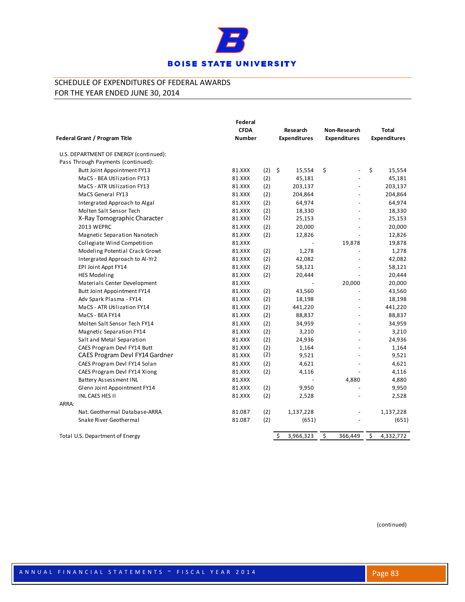

|                                        | Federal<br><b>CFDA</b> |     | Research                      | Non-Research        | <b>Total</b>        |
|----------------------------------------|------------------------|-----|-------------------------------|---------------------|---------------------|
| Federal Grant / Program Title          | <b>Number</b>          |     | <b>Expenditures</b>           | <b>Expenditures</b> | <b>Expenditures</b> |
| U.S. DEPARTMENT OF ENERGY (continued): |                        |     |                               |                     |                     |
| Pass Through Payments (continued):     |                        |     |                               |                     |                     |
| Butt Joint Appointment FY13            | 81.XXX                 | (2) | $\ddot{\mathsf{S}}$<br>15,554 | \$<br>÷.            | \$<br>15,554        |
| MaCS - BEA Utilization FY13            | 81.XXX                 | (2) | 45,181                        |                     | 45,181              |
| MaCS - ATR Utilization FY13            | 81.XXX                 | (2) | 203,137                       |                     | 203,137             |
| MaCS General FY13                      | 81.XXX                 | (2) | 204,864                       |                     | 204,864             |
| Intergrated Approach to Algal          | 81.XXX                 | (2) | 64,974                        |                     | 64,974              |
| Molten Salt Sensor Tech                | 81.XXX                 | (2) | 18,330                        |                     | 18,330              |
| X-Ray Tomographic Character            | 81.XXX                 | (2) | 25,153                        |                     | 25,153              |
| 2013 WEPRC                             | 81.XXX                 | (2) | 20,000                        |                     | 20,000              |
| Magnetic Separation Nanotech           | 81.XXX                 | (2) | 12,826                        |                     | 12,826              |
| Collegiate Wind Competition            | 81.XXX                 |     |                               | 19,878              | 19,878              |
| Modeling Potential Crack Growt         | 81.XXX                 | (2) | 1,278                         |                     | 1,278               |
| Intergrated Approach to Al-Yr2         | 81.XXX                 | (2) | 42,082                        |                     | 42,082              |
| EPI Joint Appt FY14                    | 81.XXX                 | (2) | 58,121                        |                     | 58,121              |
| <b>HES Modeling</b>                    | 81.XXX                 | (2) | 20,444                        |                     | 20,444              |
| Materials Center Development           | 81.XXX                 |     | L,                            | 20,000              | 20,000              |
| Butt Joint Appointment FY14            | 81.XXX                 | (2) | 43,560                        |                     | 43,560              |
| Adv Spark Plasma - FY14                | 81.XXX                 | (2) | 18,198                        |                     | 18,198              |
| MaCS - ATR Utilization FY14            | 81.XXX                 | (2) | 441,220                       |                     | 441,220             |
| MaCS - BEA FY14                        | 81.XXX                 | (2) | 88,837                        |                     | 88,837              |
| Molten Salt Sensor Tech FY14           | 81.XXX                 | (2) | 34,959                        |                     | 34,959              |
| Magnetic Separation FY14               | 81.XXX                 | (2) | 3,210                         |                     | 3,210               |
| Salt and Metal Separation              | 81.XXX                 | (2) | 24,936                        |                     | 24,936              |
| CAES Program Devl FY14 Butt            | 81.XXX                 | (2) | 1,164                         |                     | 1,164               |
| CAES Program Devl FY14 Gardner         | 81.XXX                 | (2) | 9,521                         |                     | 9,521               |
| CAES Program Devl FY14 Solan           | 81.XXX                 | (2) | 4,621                         |                     | 4,621               |
| CAES Program Devl FY14 Xiong           | 81.XXX                 | (2) | 4,116                         |                     | 4,116               |
| Battery Assessment INL                 | 81.XXX                 |     |                               | 4,880               | 4,880               |
| Glenn Joint Appointment FY14           | 81.XXX                 | (2) | 9,950                         |                     | 9,950               |
| INL CAES HES II                        | 81.XXX                 | (2) | 2,528                         |                     | 2,528               |
| ARRA:                                  |                        |     |                               |                     |                     |
| Nat. Geothermal Database-ARRA          | 81.087                 | (2) | 1,137,228                     |                     | 1,137,228           |
| Snake River Geothermal                 | 81.087                 | (2) | (651)                         |                     | (651)               |
| Total U.S. Department of Energy        |                        |     | \$<br>3,966,323               | \$<br>366,449       | \$<br>4,332,772     |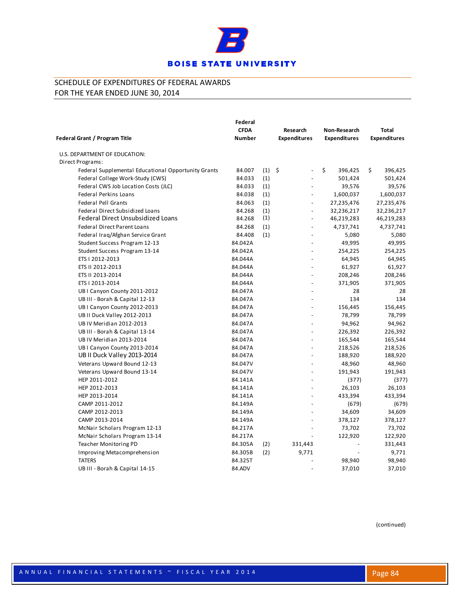

| Federal Grant / Program Title                       | Federal<br><b>CFDA</b><br><b>Number</b> |          | Research<br><b>Expenditures</b> | Non-Research<br><b>Expenditures</b> | <b>Total</b><br><b>Expenditures</b> |
|-----------------------------------------------------|-----------------------------------------|----------|---------------------------------|-------------------------------------|-------------------------------------|
| U.S. DEPARTMENT OF EDUCATION:                       |                                         |          |                                 |                                     |                                     |
| Direct Programs:                                    |                                         |          |                                 |                                     |                                     |
| Federal Supplemental Educational Opportunity Grants | 84.007                                  | $(1)$ \$ | $\blacksquare$                  | \$<br>396,425                       | \$<br>396,425                       |
| Federal College Work-Study (CWS)                    | 84.033                                  | (1)      |                                 | 501,424                             | 501,424                             |
| Federal CWS Job Location Costs (JLC)                | 84.033                                  | (1)      |                                 | 39,576                              | 39,576                              |
| <b>Federal Perkins Loans</b>                        | 84.038                                  | (1)      | $\overline{a}$                  | 1,600,037                           | 1,600,037                           |
| <b>Federal Pell Grants</b>                          | 84.063                                  | (1)      | $\blacksquare$                  | 27,235,476                          | 27,235,476                          |
| Federal Direct Subsidized Loans                     | 84.268                                  | (1)      | $\Box$                          | 32,236,217                          | 32,236,217                          |
| <b>Federal Direct Unsubsidized Loans</b>            | 84.268                                  | (1)      | $\overline{\phantom{a}}$        | 46,219,283                          | 46,219,283                          |
| <b>Federal Direct Parent Loans</b>                  | 84.268                                  | (1)      |                                 | 4,737,741                           | 4,737,741                           |
| Federal Iraq/Afghan Service Grant                   | 84.408                                  | (1)      | $\overline{\phantom{a}}$        | 5,080                               | 5,080                               |
| Student Success Program 12-13                       | 84.042A                                 |          | $\overline{a}$                  | 49,995                              | 49,995                              |
| Student Success Program 13-14                       | 84.042A                                 |          | $\overline{\phantom{a}}$        | 254,225                             | 254,225                             |
| ETS I 2012-2013                                     | 84.044A                                 |          |                                 | 64,945                              | 64,945                              |
| ETS II 2012-2013                                    | 84.044A                                 |          | $\overline{\phantom{a}}$        | 61,927                              | 61,927                              |
| ETS II 2013-2014                                    | 84.044A                                 |          | $\overline{a}$                  | 208,246                             | 208,246                             |
| ETS   2013-2014                                     | 84.044A                                 |          | $\overline{a}$                  | 371,905                             | 371,905                             |
| UB I Canyon County 2011-2012                        | 84.047A                                 |          | ä,                              | 28                                  | 28                                  |
| UB III - Borah & Capital 12-13                      | 84.047A                                 |          |                                 | 134                                 | 134                                 |
| UB I Canyon County 2012-2013                        | 84.047A                                 |          | $\overline{\phantom{a}}$        | 156,445                             | 156,445                             |
| UB II Duck Valley 2012-2013                         | 84.047A                                 |          | ÷,                              | 78,799                              | 78,799                              |
| UB IV Meridian 2012-2013                            | 84.047A                                 |          | $\overline{a}$                  | 94,962                              | 94,962                              |
| UB III - Borah & Capital 13-14                      | 84.047A                                 |          |                                 | 226,392                             | 226,392                             |
| UB IV Meridian 2013-2014                            | 84.047A                                 |          |                                 | 165,544                             | 165,544                             |
| UB I Canyon County 2013-2014                        | 84.047A                                 |          |                                 | 218,526                             | 218,526                             |
| UB II Duck Valley 2013-2014                         | 84.047A                                 |          | $\overline{\phantom{a}}$        | 188,920                             | 188,920                             |
| Veterans Upward Bound 12-13                         | 84.047V                                 |          | $\overline{a}$                  | 48,960                              | 48,960                              |
| Veterans Upward Bound 13-14                         | 84.047V                                 |          | $\ddot{\phantom{a}}$            | 191,943                             | 191,943                             |
| HEP 2011-2012                                       | 84.141A                                 |          | $\overline{\phantom{a}}$        | (377)                               | (377)                               |
| HEP 2012-2013                                       | 84.141A                                 |          |                                 | 26,103                              | 26,103                              |
| HEP 2013-2014                                       | 84.141A                                 |          | ä,                              | 433,394                             | 433,394                             |
| CAMP 2011-2012                                      | 84.149A                                 |          | $\sim$                          | (679)                               | (679)                               |
| CAMP 2012-2013                                      | 84.149A                                 |          |                                 | 34,609                              | 34,609                              |
| CAMP 2013-2014                                      | 84.149A                                 |          |                                 | 378,127                             | 378,127                             |
| McNair Scholars Program 12-13                       | 84.217A                                 |          |                                 | 73,702                              | 73,702                              |
| McNair Scholars Program 13-14                       | 84.217A                                 |          |                                 | 122,920                             | 122,920                             |
| Teacher Monitoring PD                               | 84.305A                                 | (2)      | 331,443                         |                                     | 331,443                             |
| Improving Metacomprehension                         | 84.305B                                 | (2)      | 9,771                           |                                     | 9,771                               |
| <b>TATERS</b>                                       | 84.325T                                 |          |                                 | 98,940                              | 98,940                              |
| UB III - Borah & Capital 14-15                      | 84.ADV                                  |          |                                 | 37,010                              | 37,010                              |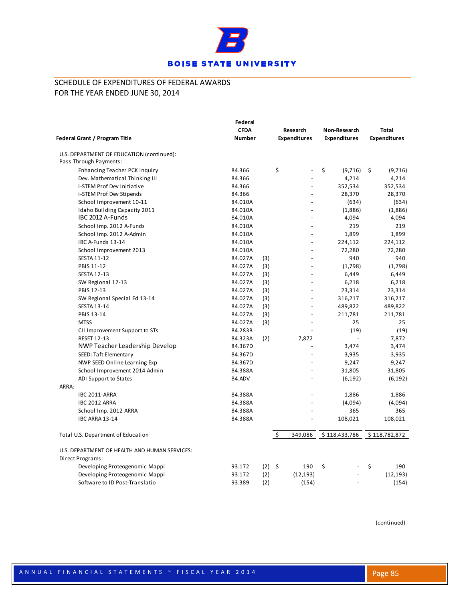

|                                               | Federal                      |          |                     |    |                                     |    |                                     |  |
|-----------------------------------------------|------------------------------|----------|---------------------|----|-------------------------------------|----|-------------------------------------|--|
|                                               | <b>CFDA</b><br><b>Number</b> |          | Research            |    | Non-Research<br><b>Expenditures</b> |    | <b>Total</b><br><b>Expenditures</b> |  |
| <b>Federal Grant / Program Title</b>          |                              |          | <b>Expenditures</b> |    |                                     |    |                                     |  |
| U.S. DEPARTMENT OF EDUCATION (continued):     |                              |          |                     |    |                                     |    |                                     |  |
| Pass Through Payments:                        |                              |          |                     |    |                                     |    |                                     |  |
| <b>Enhancing Teacher PCK Inquiry</b>          | 84.366                       |          | \$                  | \$ | (9,716)                             | \$ | (9,716)                             |  |
| Dev. Mathematical Thinking III                | 84.366                       |          |                     |    | 4,214                               |    | 4,214                               |  |
| i-STEM Prof Dev Initiative                    | 84.366                       |          |                     |    | 352,534                             |    | 352,534                             |  |
| i-STEM Prof Dev Stipends                      | 84.366                       |          | ÷                   |    | 28,370                              |    | 28,370                              |  |
| School Improvement 10-11                      | 84.010A                      |          |                     |    | (634)                               |    | (634)                               |  |
| Idaho Building Capacity 2011                  | 84.010A                      |          |                     |    | (1,886)                             |    | (1,886)                             |  |
| IBC 2012 A-Funds                              | 84.010A                      |          | L.                  |    | 4,094                               |    | 4,094                               |  |
| School Imp. 2012 A-Funds                      | 84.010A                      |          |                     |    | 219                                 |    | 219                                 |  |
| School Imp. 2012 A-Admin                      | 84.010A                      |          |                     |    | 1,899                               |    | 1,899                               |  |
| IBC A-Funds 13-14                             | 84.010A                      |          | ÷                   |    | 224,112                             |    | 224,112                             |  |
| School Improvement 2013                       | 84.010A                      |          |                     |    | 72,280                              |    | 72,280                              |  |
| <b>SESTA 11-12</b>                            | 84.027A                      | (3)      |                     |    | 940                                 |    | 940                                 |  |
| PBIS 11-12                                    | 84.027A                      | (3)      |                     |    | (1,798)                             |    | (1,798)                             |  |
| <b>SESTA 12-13</b>                            | 84.027A                      | (3)      |                     |    | 6,449                               |    | 6,449                               |  |
| SW Regional 12-13                             | 84.027A                      | (3)      |                     |    | 6,218                               |    | 6,218                               |  |
| PBIS 12-13                                    | 84.027A                      | (3)      |                     |    | 23,314                              |    | 23,314                              |  |
| SW Regional Special Ed 13-14                  | 84.027A                      | (3)      | ä,                  |    | 316,217                             |    | 316,217                             |  |
| <b>SESTA 13-14</b>                            | 84.027A                      | (3)      |                     |    | 489,822                             |    | 489,822                             |  |
| PBIS 13-14                                    | 84.027A                      | (3)      |                     |    | 211,781                             |    | 211,781                             |  |
| <b>MTSS</b>                                   | 84.027A                      | (3)      |                     |    | 25                                  |    | 25                                  |  |
| CII Improvement Support to STs                | 84.283B                      |          |                     |    | (19)                                |    | (19)                                |  |
| <b>RESET 12-13</b>                            | 84.323A                      | (2)      | 7,872               |    |                                     |    | 7,872                               |  |
| NWP Teacher Leadership Develop                | 84.367D                      |          |                     |    | 3,474                               |    | 3,474                               |  |
| SEED: Taft Elementary                         | 84.367D                      |          |                     |    | 3,935                               |    | 3,935                               |  |
| NWP SEED Online Learning Exp                  | 84.367D                      |          |                     |    | 9,247                               |    | 9,247                               |  |
| School Improvement 2014 Admin                 | 84.388A                      |          |                     |    | 31,805                              |    | 31,805                              |  |
| ADI Support to States                         | 84.ADV                       |          |                     |    | (6, 192)                            |    | (6, 192)                            |  |
| ARRA:                                         |                              |          |                     |    |                                     |    |                                     |  |
| <b>IBC 2011-ARRA</b>                          | 84.388A                      |          |                     |    | 1,886                               |    | 1,886                               |  |
| <b>IBC 2012 ARRA</b>                          | 84.388A                      |          |                     |    | (4,094)                             |    | (4,094)                             |  |
| School Imp. 2012 ARRA                         | 84.388A                      |          |                     |    | 365                                 |    | 365                                 |  |
| <b>IBC ARRA 13-14</b>                         | 84.388A                      |          |                     |    | 108,021                             |    | 108,021                             |  |
| Total U.S. Department of Education            |                              |          | \$<br>349,086       |    | \$118,433,786                       |    | \$118,782,872                       |  |
| U.S. DEPARTMENT OF HEALTH AND HUMAN SERVICES: |                              |          |                     |    |                                     |    |                                     |  |
| Direct Programs:                              |                              |          |                     |    |                                     |    |                                     |  |
| Developing Proteogenomic Mappi                | 93.172                       | $(2)$ \$ | 190                 | \$ |                                     | \$ | 190                                 |  |
| Developing Proteogenomic Mappi                | 93.172                       | (2)      | (12, 193)           |    |                                     |    | (12, 193)                           |  |
| Software to ID Post-Translatio                | 93.389                       | (2)      | (154)               |    |                                     |    | (154)                               |  |
|                                               |                              |          |                     |    |                                     |    |                                     |  |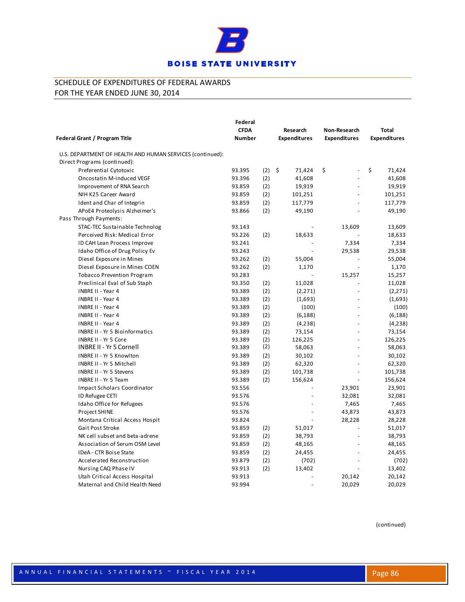

|                                                           | Federal       |     |                     |                          |                     |  |
|-----------------------------------------------------------|---------------|-----|---------------------|--------------------------|---------------------|--|
| Federal Grant / Program Title                             | <b>CFDA</b>   |     | Research            | Non-Research             | <b>Total</b>        |  |
|                                                           | <b>Number</b> |     | <b>Expenditures</b> | <b>Expenditures</b>      | <b>Expenditures</b> |  |
| U.S. DEPARTMENT OF HEALTH AND HUMAN SERVICES (continued): |               |     |                     |                          |                     |  |
| Direct Programs (continued):                              |               |     |                     |                          |                     |  |
| Preferential Cytotoxic                                    | 93.395        | (2) | \$<br>71,424        | \$<br>÷,                 | \$<br>71,424        |  |
| Oncostatin M-induced VEGF                                 | 93.396        | (2) | 41,608              |                          | 41,608              |  |
| Improvement of RNA Search                                 | 93.859        | (2) | 19,919              |                          | 19,919              |  |
| NIH K25 Career Award                                      | 93.859        | (2) | 101,251             |                          | 101,251             |  |
| Ident and Char of Integrin                                | 93.859        | (2) | 117,779             |                          | 117,779             |  |
| APoE4 Proteolysis Alzheimer's                             | 93.866        | (2) | 49,190              |                          | 49,190              |  |
| Pass Through Payments:                                    |               |     |                     |                          |                     |  |
| STAC-TEC Sustainable Technolog                            | 93.143        |     |                     | 13,609                   | 13,609              |  |
| Perceived Risk: Medical Error                             | 93.226        | (2) | 18,633              |                          | 18,633              |  |
| ID CAH Lean Process Improve                               | 93.241        |     |                     | 7,334                    | 7,334               |  |
| Idaho Office of Drug Policy Ev                            | 93.243        |     |                     | 29,538                   | 29,538              |  |
| Diesel Exposure in Mines                                  | 93.262        | (2) | 55,004              | $\overline{\phantom{a}}$ | 55,004              |  |
| Diesel Exposure in Mines COEN                             | 93.262        | (2) | 1,170               |                          | 1,170               |  |
| <b>Tobacco Prevention Program</b>                         | 93.283        |     |                     | 15,257                   | 15,257              |  |
| Preclinical Eval of Sub Staph                             | 93.350        | (2) | 11,028              |                          | 11,028              |  |
| INBRE II - Year 4                                         | 93.389        | (2) | (2, 271)            |                          | (2, 271)            |  |
| INBRE II - Year 4                                         | 93.389        | (2) | (1,693)             |                          | (1,693)             |  |
| INBRE II - Year 4                                         | 93.389        | (2) | (100)               |                          | (100)               |  |
| INBRE II - Year 4                                         | 93.389        | (2) | (6, 188)            |                          | (6, 188)            |  |
| INBRE II - Year 4                                         | 93.389        | (2) | (4,238)             | $\overline{a}$           | (4, 238)            |  |
| <b>INBRE II - Yr 5 Bioinformatics</b>                     | 93.389        | (2) | 73,154              |                          | 73,154              |  |
| <b>INBRE II - Yr 5 Core</b>                               | 93.389        | (2) | 126,225             | $\overline{a}$           | 126,225             |  |
| <b>INBRE II - Yr 5 Cornell</b>                            | 93.389        | (2) | 58,063              |                          | 58,063              |  |
| <b>INBRE II - Yr 5 Knowlton</b>                           | 93.389        | (2) | 30,102              |                          | 30,102              |  |
| INBRE II - Yr 5 Mitchell                                  | 93.389        | (2) | 62,320              |                          | 62,320              |  |
| <b>INBRE II - Yr 5 Stevens</b>                            | 93.389        | (2) | 101,738             | $\blacksquare$           | 101,738             |  |
| INBRE II - Yr 5 Team                                      | 93.389        | (2) | 156,624             |                          | 156,624             |  |
| Impact Scholars Coordinator                               | 93.556        |     |                     | 23,901                   | 23,901              |  |
| ID Refugee CETI                                           | 93.576        |     |                     | 32,081                   | 32,081              |  |
| Idaho Office for Refugees                                 | 93.576        |     |                     | 7,465                    | 7,465               |  |
| Project SHINE                                             | 93.576        |     | ÷                   | 43,873                   | 43,873              |  |
| Montana Critical Access Hospit                            | 93.824        |     |                     | 28,228                   | 28,228              |  |
| Gait Post Stroke                                          | 93.859        | (2) | 51,017              |                          | 51,017              |  |
| NK cell subset and beta-adrene                            | 93.859        | (2) | 38,793              |                          | 38,793              |  |
| Association of Serum OSM Level                            | 93.859        | (2) | 48,165              |                          | 48,165              |  |
| IDeA - CTR Boise State                                    | 93.859        | (2) | 24,455              |                          | 24,455              |  |
| Accelerated Reconstruction                                | 93.879        | (2) | (702)               |                          | (702)               |  |
| Nursing CAQ Phase IV                                      | 93.913        | (2) | 13,402              |                          | 13,402              |  |
| Utah Critical Access Hospital                             | 93.913        |     |                     | 20,142                   | 20,142              |  |
| Maternal and Child Health Need                            | 93.994        |     |                     | 20,029                   | 20,029              |  |